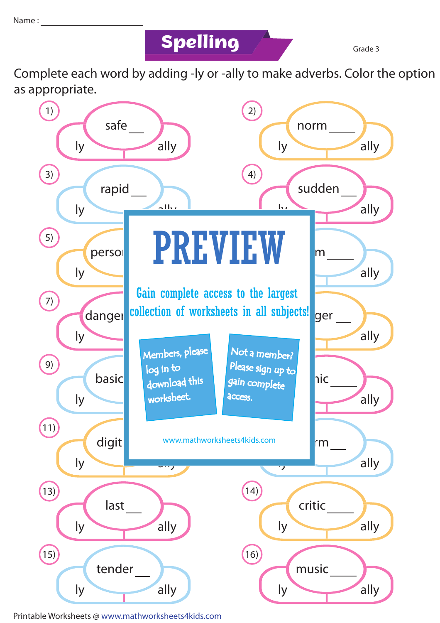## **Spelling Grade 3**

Complete each word by adding -ly or -ally to make adverbs. Color the option as appropriate.



Printable Worksheets @ www.mathworksheets4kids.com